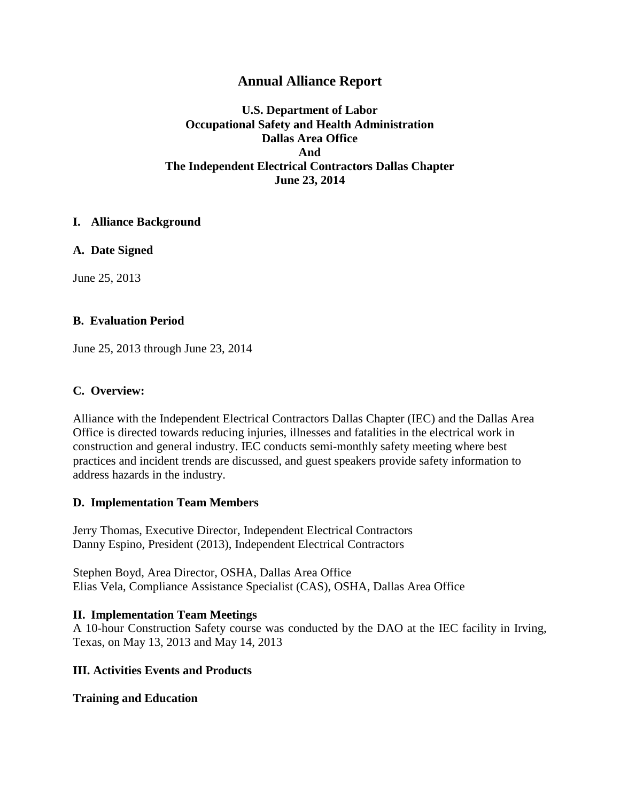# **Annual Alliance Report**

**U.S. Department of Labor Occupational Safety and Health Administration Dallas Area Office And The Independent Electrical Contractors Dallas Chapter June 23, 2014**

### **I. Alliance Background**

**A. Date Signed**

June 25, 2013

# **B. Evaluation Period**

June 25, 2013 through June 23, 2014

### **C. Overview:**

Alliance with the Independent Electrical Contractors Dallas Chapter (IEC) and the Dallas Area Office is directed towards reducing injuries, illnesses and fatalities in the electrical work in construction and general industry. IEC conducts semi-monthly safety meeting where best practices and incident trends are discussed, and guest speakers provide safety information to address hazards in the industry.

### **D. Implementation Team Members**

Jerry Thomas, Executive Director, Independent Electrical Contractors Danny Espino, President (2013), Independent Electrical Contractors

Stephen Boyd, Area Director, OSHA, Dallas Area Office Elias Vela, Compliance Assistance Specialist (CAS), OSHA, Dallas Area Office

### **II. Implementation Team Meetings**

A 10-hour Construction Safety course was conducted by the DAO at the IEC facility in Irving, Texas, on May 13, 2013 and May 14, 2013

### **III. Activities Events and Products**

### **Training and Education**